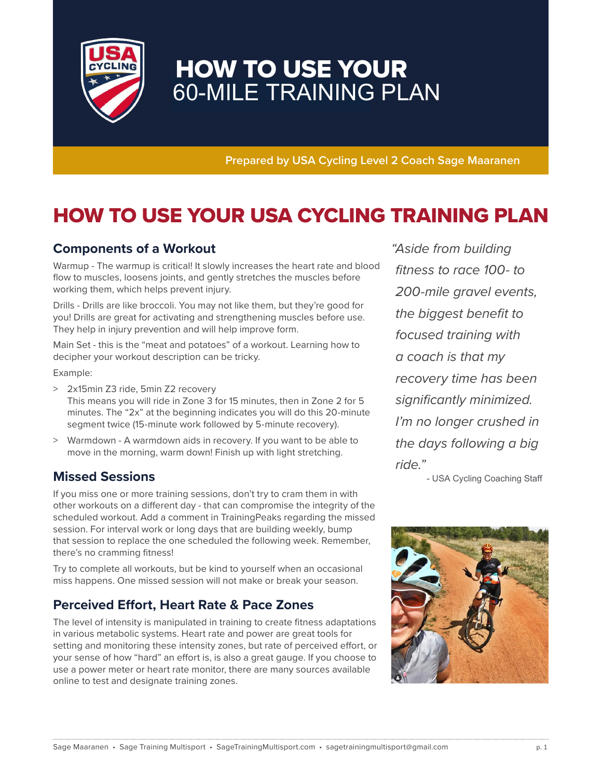

# HOW TO USE YOUR 60-MILE TRAINING PLAN

**Prepared by USA Cycling Level 2 Coach Sage Maaranen**

# HOW TO USE YOUR USA CYCLING TRAINING PLAN

### **Components of a Workout**

Warmup - The warmup is critical! It slowly increases the heart rate and blood flow to muscles, loosens joints, and gently stretches the muscles before working them, which helps prevent injury.

Drills - Drills are like broccoli. You may not like them, but they're good for you! Drills are great for activating and strengthening muscles before use. They help in injury prevention and will help improve form.

Main Set - this is the "meat and potatoes" of a workout. Learning how to decipher your workout description can be tricky.

Example:

- > 2x15min Z3 ride, 5min Z2 recovery This means you will ride in Zone 3 for 15 minutes, then in Zone 2 for 5 minutes. The "2x" at the beginning indicates you will do this 20-minute segment twice (15-minute work followed by 5-minute recovery).
- > Warmdown A warmdown aids in recovery. If you want to be able to move in the morning, warm down! Finish up with light stretching.

### **Missed Sessions**

If you miss one or more training sessions, don't try to cram them in with other workouts on a different day - that can compromise the integrity of the scheduled workout. Add a comment in TrainingPeaks regarding the missed session. For interval work or long days that are building weekly, bump that session to replace the one scheduled the following week. Remember, there's no cramming fitness!

Try to complete all workouts, but be kind to yourself when an occasional miss happens. One missed session will not make or break your season.

### **Perceived Effort, Heart Rate & Pace Zones**

The level of intensity is manipulated in training to create fitness adaptations in various metabolic systems. Heart rate and power are great tools for setting and monitoring these intensity zones, but rate of perceived effort, or your sense of how "hard" an effort is, is also a great gauge. If you choose to use a power meter or heart rate monitor, there are many sources available online to test and designate training zones.

" Aside from building fitness to race 100- to 200-mile gravel events, the biggest benefit to focused training with a coach is that my recovery time has been significantly minimized. I'm no longer crushed in the days following a big ride."

- USA Cycling Coaching Staff

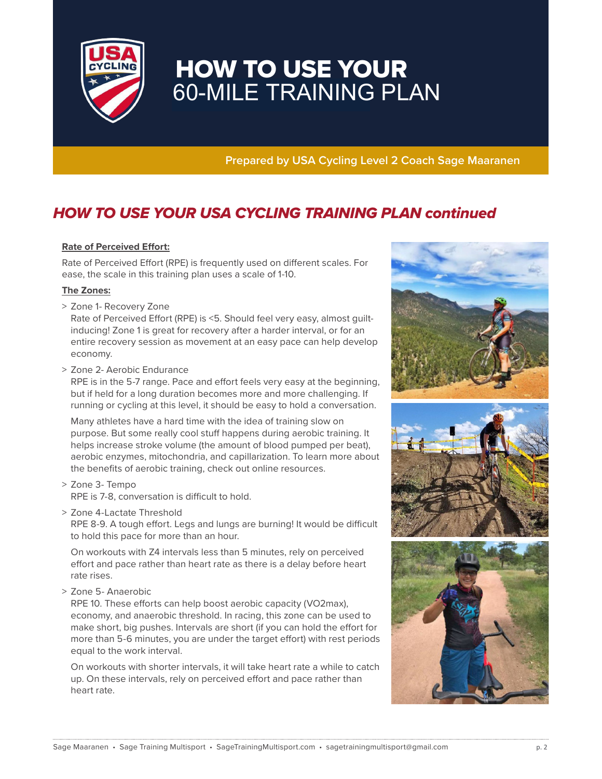

# HOW TO USE YOUR 60-MILE TRAINING PLAN

**Prepared by USA Cycling Level 2 Coach Sage Maaranen**

## HOW TO USE YOUR USA CYCLING TRAINING PLAN continued

#### **Rate of Perceived Effort:**

Rate of Perceived Effort (RPE) is frequently used on different scales. For ease, the scale in this training plan uses a scale of 1-10.

#### **The Zones:**

> Zone 1- Recovery Zone

 Rate of Perceived Effort (RPE) is <5. Should feel very easy, almost guiltinducing! Zone 1 is great for recovery after a harder interval, or for an entire recovery session as movement at an easy pace can help develop economy.

> Zone 2- Aerobic Endurance

 RPE is in the 5-7 range. Pace and effort feels very easy at the beginning, but if held for a long duration becomes more and more challenging. If running or cycling at this level, it should be easy to hold a conversation.

 Many athletes have a hard time with the idea of training slow on purpose. But some really cool stuff happens during aerobic training. It helps increase stroke volume (the amount of blood pumped per beat), aerobic enzymes, mitochondria, and capillarization. To learn more about the benefits of aerobic training, check out online resources.

- > Zone 3- Tempo RPE is 7-8, conversation is difficult to hold.
- > Zone 4-Lactate Threshold

 RPE 8-9. A tough effort. Legs and lungs are burning! It would be difficult to hold this pace for more than an hour.

 On workouts with Z4 intervals less than 5 minutes, rely on perceived effort and pace rather than heart rate as there is a delay before heart rate rises.

> Zone 5- Anaerobic

 RPE 10. These efforts can help boost aerobic capacity (VO2max), economy, and anaerobic threshold. In racing, this zone can be used to make short, big pushes. Intervals are short (if you can hold the effort for more than 5-6 minutes, you are under the target effort) with rest periods equal to the work interval.

 On workouts with shorter intervals, it will take heart rate a while to catch up. On these intervals, rely on perceived effort and pace rather than heart rate.

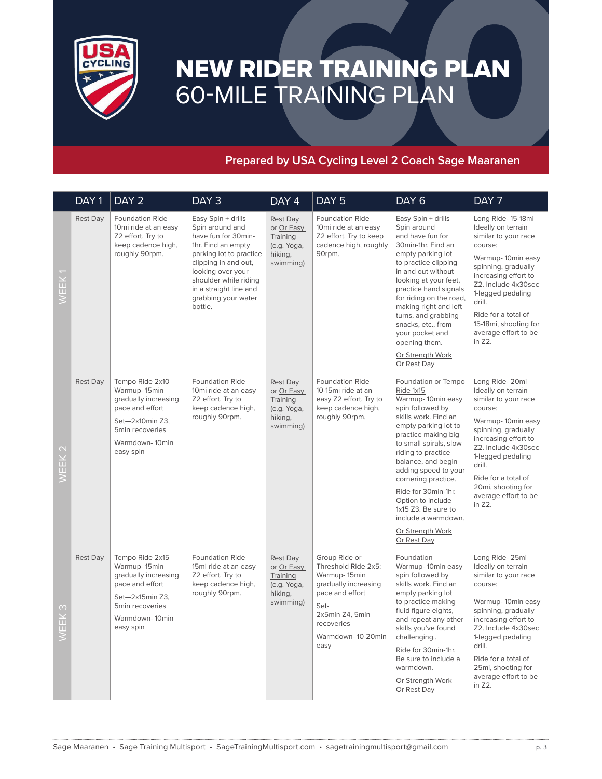

# NEW RIDER TRAINING PLAN 60-MILE TRAINING PLAN

### **Prepared by USA Cycling Level 2 Coach Sage Maaranen**

|                   | DAY <sub>1</sub> | DAY <sub>2</sub>                                                                                                                                | DAY <sub>3</sub>                                                                                                                                                                                                                                | DAY 4                                                                     | DAY <sub>5</sub>                                                                                                                                                      | DAY <sub>6</sub>                                                                                                                                                                                                                                                                                                                                                                                   | DAY 7                                                                                                                                                                                                                                                                                   |
|-------------------|------------------|-------------------------------------------------------------------------------------------------------------------------------------------------|-------------------------------------------------------------------------------------------------------------------------------------------------------------------------------------------------------------------------------------------------|---------------------------------------------------------------------------|-----------------------------------------------------------------------------------------------------------------------------------------------------------------------|----------------------------------------------------------------------------------------------------------------------------------------------------------------------------------------------------------------------------------------------------------------------------------------------------------------------------------------------------------------------------------------------------|-----------------------------------------------------------------------------------------------------------------------------------------------------------------------------------------------------------------------------------------------------------------------------------------|
| WEEK              | Rest Day         | Foundation Ride<br>10mi ride at an easy<br>Z2 effort. Try to<br>keep cadence high,<br>roughly 90rpm.                                            | Easy Spin + drills<br>Spin around and<br>have fun for 30min-<br>1hr. Find an empty<br>parking lot to practice<br>clipping in and out,<br>looking over your<br>shoulder while riding<br>in a straight line and<br>grabbing your water<br>bottle. | Rest Day<br>or Or Easy<br>Training<br>(e.g. Yoga,<br>hiking,<br>swimming) | Foundation Ride<br>10mi ride at an easy<br>Z2 effort. Try to keep<br>cadence high, roughly<br>90rpm.                                                                  | Easy Spin + drills<br>Spin around<br>and have fun for<br>30min-1hr. Find an<br>empty parking lot<br>to practice clipping<br>in and out without<br>looking at your feet,<br>practice hand signals<br>for riding on the road,<br>making right and left<br>turns, and grabbing<br>snacks, etc., from<br>your pocket and<br>opening them.<br>Or Strength Work<br>Or Rest Day                           | Long Ride- 15-18mi<br>Ideally on terrain<br>similar to your race<br>course:<br>Warmup-10min easy<br>spinning, gradually<br>increasing effort to<br>Z2. Include 4x30sec<br>1-legged pedaling<br>drill.<br>Ride for a total of<br>15-18mi, shooting for<br>average effort to be<br>in Z2. |
| WEEK <sub>2</sub> | <b>Rest Day</b>  | Tempo Ride 2x10<br>Warmup-15min<br>gradually increasing<br>pace and effort<br>Set-2x10min Z3,<br>5min recoveries<br>Warmdown-10min<br>easy spin | Foundation Ride<br>10mi ride at an easy<br>Z2 effort. Try to<br>keep cadence high,<br>roughly 90rpm.                                                                                                                                            | Rest Day<br>or Or Easy<br>Training<br>(e.g. Yoga,<br>hiking,<br>swimming) | <b>Foundation Ride</b><br>10-15mi ride at an<br>easy Z2 effort. Try to<br>keep cadence high,<br>roughly 90rpm.                                                        | Foundation or Tempo<br>Ride 1x15<br>Warmup-10min easy<br>spin followed by<br>skills work. Find an<br>empty parking lot to<br>practice making big<br>to small spirals, slow<br>riding to practice<br>balance, and begin<br>adding speed to your<br>cornering practice.<br>Ride for 30min-1hr.<br>Option to include<br>1x15 Z3. Be sure to<br>include a warmdown.<br>Or Strength Work<br>Or Rest Day | Long Ride-20mi<br>Ideally on terrain<br>similar to your race<br>course:<br>Warmup-10min easy<br>spinning, gradually<br>increasing effort to<br>Z2. Include 4x30sec<br>1-legged pedaling<br>drill.<br>Ride for a total of<br>20mi, shooting for<br>average effort to be<br>in Z2.        |
| M<br>面<br>ш       | <b>Rest Day</b>  | Tempo Ride 2x15<br>Warmup-15min<br>gradually increasing<br>pace and effort<br>Set-2x15min Z3,<br>5min recoveries<br>Warmdown-10min<br>easy spin | <b>Foundation Ride</b><br>15mi ride at an easy<br>Z2 effort. Try to<br>keep cadence high,<br>roughly 90rpm.                                                                                                                                     | Rest Day<br>or Or Easy<br>Training<br>(e.g. Yoga,<br>hiking,<br>swimming) | Group Ride or<br>Threshold Ride 2x5:<br>Warmup-15min<br>gradually increasing<br>pace and effort<br>Set-<br>2x5min Z4, 5min<br>recoveries<br>Warmdown-10-20min<br>easy | Foundation<br>Warmup-10min easy<br>spin followed by<br>skills work. Find an<br>empty parking lot<br>to practice making<br>fluid figure eights,<br>and repeat any other<br>skills you've found<br>challenging<br>Ride for 30min-1hr.<br>Be sure to include a<br>warmdown.<br>Or Strength Work<br>Or Rest Day                                                                                        | Long Ride-25mi<br>Ideally on terrain<br>similar to your race<br>course:<br>Warmup-10min easy<br>spinning, gradually<br>increasing effort to<br>Z2. Include 4x30sec<br>1-legged pedaling<br>drill.<br>Ride for a total of<br>25mi, shooting for<br>average effort to be<br>in Z2.        |
|                   |                  |                                                                                                                                                 |                                                                                                                                                                                                                                                 |                                                                           | Sage Maaranen • Sage Training Multisport • SageTrainingMultisport.com • sagetrainingmultisport@gmail.com                                                              |                                                                                                                                                                                                                                                                                                                                                                                                    | p. 3                                                                                                                                                                                                                                                                                    |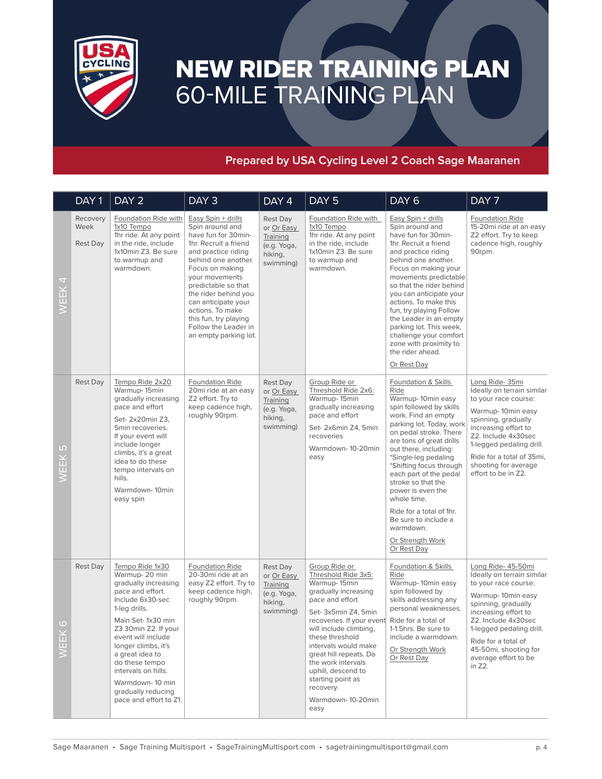

# NEW RIDER TRAINING PLAN 60-MILE TRAINING PLAN

### **Prepared by USA Cycling Level 2 Coach Sage Maaranen**

|                                     |                                                                                                                                                                                                                                                                                                                                            |                                                                                                                                                                                                                                                                                                                                              | $DAY$ 4                                                                   | DAY <sub>5</sub>                                                                                                                                                                                                                                                                                                                  | DAY <sub>6</sub>                                                                                                                                                                                                                                                                                                                                                                                                                                         | DAY 7                                                                                                                                                                                                                                                                             |
|-------------------------------------|--------------------------------------------------------------------------------------------------------------------------------------------------------------------------------------------------------------------------------------------------------------------------------------------------------------------------------------------|----------------------------------------------------------------------------------------------------------------------------------------------------------------------------------------------------------------------------------------------------------------------------------------------------------------------------------------------|---------------------------------------------------------------------------|-----------------------------------------------------------------------------------------------------------------------------------------------------------------------------------------------------------------------------------------------------------------------------------------------------------------------------------|----------------------------------------------------------------------------------------------------------------------------------------------------------------------------------------------------------------------------------------------------------------------------------------------------------------------------------------------------------------------------------------------------------------------------------------------------------|-----------------------------------------------------------------------------------------------------------------------------------------------------------------------------------------------------------------------------------------------------------------------------------|
| Recovery<br>Week<br><b>Rest Day</b> | Foundation Ride with<br>1x10 Tempo<br>1hr ride. At any point<br>in the ride, include<br>1x10min Z3. Be sure<br>to warmup and<br>warmdown.                                                                                                                                                                                                  | Easy Spin + drills<br>Spin around and<br>have fun for 30min-<br>1hr. Recruit a friend<br>and practice riding<br>behind one another.<br>Focus on making<br>your movements<br>predictable so that<br>the rider behind you<br>can anticipate your<br>actions. To make<br>this fun, try playing<br>Follow the Leader in<br>an empty parking lot. | Rest Day<br>or Or Easy<br>Training<br>(e.g. Yoga,<br>hiking,<br>swimming) | Foundation Ride with<br>1x10 Tempo<br>1hr ride. At any point<br>in the ride, include<br>1x10min Z3. Be sure<br>to warmup and<br>warmdown.                                                                                                                                                                                         | Easy Spin + drills<br>Spin around and<br>have fun for 30min-<br>1hr. Recruit a friend<br>and practice riding<br>behind one another.<br>Focus on making your<br>movements predictable<br>so that the rider behind<br>you can anticipate your<br>actions. To make this<br>fun, try playing Follow<br>the Leader in an empty<br>parking lot. This week,<br>challenge your comfort<br>zone with proximity to<br>the rider ahead.<br>Or Rest Day              | <b>Foundation Ride</b><br>15-20mi ride at an easy<br>Z2 effort. Try to keep<br>cadence high, roughly<br>90rpm.                                                                                                                                                                    |
| <b>Rest Day</b>                     | Tempo Ride 2x20<br>Warmup-15min<br>gradually increasing<br>pace and effort<br>Set- 2x20min Z3,<br>5min recoveries.<br>If your event will<br>include longer<br>climbs, it's a great<br>idea to do these<br>tempo intervals on<br>hills.<br>Warmdown-10min<br>easy spin                                                                      | <b>Foundation Ride</b><br>20mi ride at an easy<br>Z2 effort. Try to<br>keep cadence high,<br>roughly 90rpm.                                                                                                                                                                                                                                  | Rest Day<br>or Or Easy<br>Training<br>(e.g. Yoga,<br>hiking,<br>swimming) | Group Ride or<br>Threshold Ride 2x6:<br>Warmup-15min<br>gradually increasing<br>pace and effort<br>Set-2x6min Z4, 5min<br>recoveries<br>Warmdown-10-20min<br>easy                                                                                                                                                                 | Foundation & Skills<br>Ride<br>Warmup-10min easy<br>spin followed by skills<br>work. Find an empty<br>parking lot. Today, work<br>on pedal stroke. There<br>are tons of great drills<br>out there, including:<br>*Single-leg pedaling<br>*Shifting focus through<br>each part of the pedal<br>stroke so that the<br>power is even the<br>whole time.<br>Ride for a total of 1hr.<br>Be sure to include a<br>warmdown.<br>Or Strength Work<br>Or Rest Day | Long Ride-35mi<br>Ideally on terrain similar<br>to your race course:<br>Warmup-10min easy<br>spinning, gradually<br>increasing effort to<br>Z2. Include 4x30sec<br>1-legged pedaling drill.<br>Ride for a total of 35mi,<br>shooting for average<br>effort to be in Z2.           |
| <b>Rest Day</b>                     | Tempo Ride 1x30<br>Warmup-20 min<br>gradually increasing<br>pace and effort.<br>Include 6x30-sec<br>1-leg drills.<br>Main Set-1x30 min<br>Z3 30min Z2. If your<br>event will include<br>longer climbs, it's<br>a great idea to<br>do these tempo<br>intervals on hills.<br>Warmdown-10 min<br>gradually reducing<br>pace and effort to Z1. | <b>Foundation Ride</b><br>20-30mi ride at an<br>easy Z2 effort. Try to<br>keep cadence high,<br>roughly 90rpm.                                                                                                                                                                                                                               | Rest Day<br>or Or Easy<br>Training<br>(e.g. Yoga,<br>hiking,<br>swimming) | Group Ride or<br>Threshold Ride 3x5:<br>Warmup-15min<br>gradually increasing<br>pace and effort<br>Set- 3x5min Z4, 5min<br>will include climbing,<br>these threshold<br>intervals would make<br>great hill repeats. Do<br>the work intervals<br>uphill, descend to<br>starting point as<br>recovery.<br>Warmdown-10-20min<br>easy | Foundation & Skills<br>Ride<br>Warmup-10min easy<br>spin followed by<br>skills addressing any<br>personal weaknesses.<br>Ride for a total of<br>1-1.5hrs. Be sure to<br>include a warmdown.<br>Or Strength Work<br>Or Rest Day                                                                                                                                                                                                                           | Long Ride- 45-50mi<br>Ideally on terrain similar<br>to your race course:<br>Warmup-10min easy<br>spinning, gradually<br>increasing effort to<br>Z2. Include 4x30sec<br>1-legged pedaling drill.<br>Ride for a total of<br>45-50mi, shooting for<br>average effort to be<br>in Z2. |
|                                     |                                                                                                                                                                                                                                                                                                                                            |                                                                                                                                                                                                                                                                                                                                              |                                                                           |                                                                                                                                                                                                                                                                                                                                   |                                                                                                                                                                                                                                                                                                                                                                                                                                                          | recoveries. If your event<br>Sage Maaranen • Sage Training Multisport • SageTrainingMultisport.com • sagetrainingmultisport@gmail.com                                                                                                                                             |